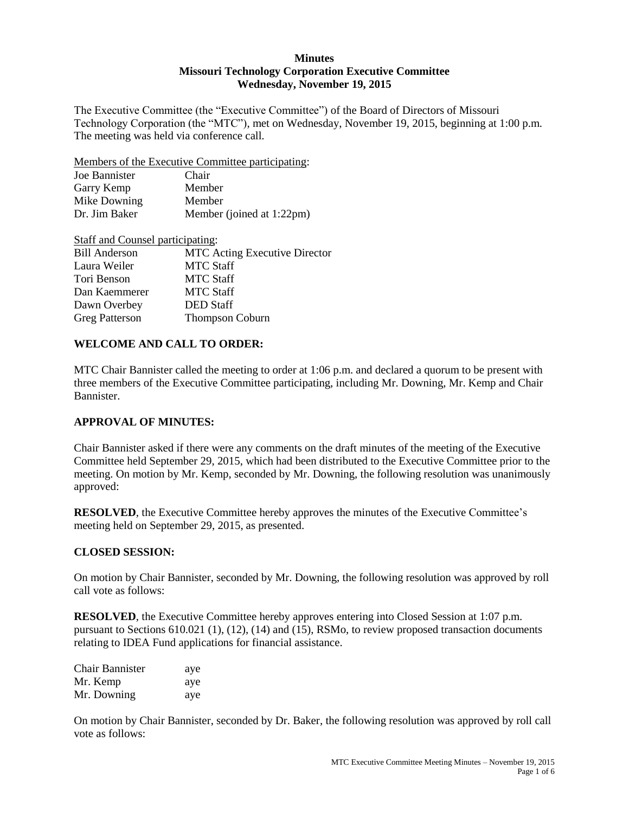#### **Minutes Missouri Technology Corporation Executive Committee Wednesday, November 19, 2015**

The Executive Committee (the "Executive Committee") of the Board of Directors of Missouri Technology Corporation (the "MTC"), met on Wednesday, November 19, 2015, beginning at 1:00 p.m. The meeting was held via conference call.

Members of the Executive Committee participating:

| Joe Bannister | Chair                     |
|---------------|---------------------------|
| Garry Kemp    | Member                    |
| Mike Downing  | Member                    |
| Dr. Jim Baker | Member (joined at 1:22pm) |

| Staff and Counsel participating: |                                      |
|----------------------------------|--------------------------------------|
| <b>Bill Anderson</b>             | <b>MTC</b> Acting Executive Director |
| Laura Weiler                     | <b>MTC Staff</b>                     |
| Tori Benson                      | <b>MTC Staff</b>                     |
| Dan Kaemmerer                    | <b>MTC Staff</b>                     |
| Dawn Overbey                     | <b>DED</b> Staff                     |
| <b>Greg Patterson</b>            | <b>Thompson Coburn</b>               |

### **WELCOME AND CALL TO ORDER:**

MTC Chair Bannister called the meeting to order at 1:06 p.m. and declared a quorum to be present with three members of the Executive Committee participating, including Mr. Downing, Mr. Kemp and Chair Bannister.

#### **APPROVAL OF MINUTES:**

Chair Bannister asked if there were any comments on the draft minutes of the meeting of the Executive Committee held September 29, 2015, which had been distributed to the Executive Committee prior to the meeting. On motion by Mr. Kemp, seconded by Mr. Downing, the following resolution was unanimously approved:

**RESOLVED**, the Executive Committee hereby approves the minutes of the Executive Committee's meeting held on September 29, 2015, as presented.

#### **CLOSED SESSION:**

On motion by Chair Bannister, seconded by Mr. Downing, the following resolution was approved by roll call vote as follows:

**RESOLVED**, the Executive Committee hereby approves entering into Closed Session at 1:07 p.m. pursuant to Sections 610.021 (1), (12), (14) and (15), RSMo, to review proposed transaction documents relating to IDEA Fund applications for financial assistance.

| <b>Chair Bannister</b> | aye |
|------------------------|-----|
| Mr. Kemp               | aye |
| Mr. Downing            | aye |

On motion by Chair Bannister, seconded by Dr. Baker, the following resolution was approved by roll call vote as follows: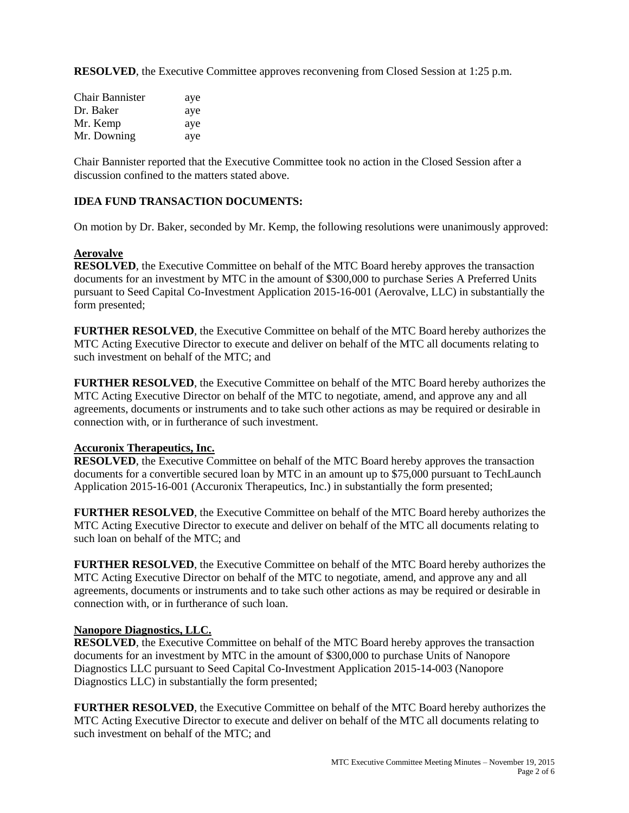**RESOLVED**, the Executive Committee approves reconvening from Closed Session at 1:25 p.m.

| Chair Bannister | aye |
|-----------------|-----|
| Dr. Baker       | aye |
| Mr. Kemp        | aye |
| Mr. Downing     | ave |

Chair Bannister reported that the Executive Committee took no action in the Closed Session after a discussion confined to the matters stated above.

#### **IDEA FUND TRANSACTION DOCUMENTS:**

On motion by Dr. Baker, seconded by Mr. Kemp, the following resolutions were unanimously approved:

#### **Aerovalve**

**RESOLVED**, the Executive Committee on behalf of the MTC Board hereby approves the transaction documents for an investment by MTC in the amount of \$300,000 to purchase Series A Preferred Units pursuant to Seed Capital Co-Investment Application 2015-16-001 (Aerovalve, LLC) in substantially the form presented;

**FURTHER RESOLVED**, the Executive Committee on behalf of the MTC Board hereby authorizes the MTC Acting Executive Director to execute and deliver on behalf of the MTC all documents relating to such investment on behalf of the MTC; and

**FURTHER RESOLVED**, the Executive Committee on behalf of the MTC Board hereby authorizes the MTC Acting Executive Director on behalf of the MTC to negotiate, amend, and approve any and all agreements, documents or instruments and to take such other actions as may be required or desirable in connection with, or in furtherance of such investment.

#### **Accuronix Therapeutics, Inc.**

**RESOLVED**, the Executive Committee on behalf of the MTC Board hereby approves the transaction documents for a convertible secured loan by MTC in an amount up to \$75,000 pursuant to TechLaunch Application 2015-16-001 (Accuronix Therapeutics, Inc.) in substantially the form presented;

**FURTHER RESOLVED**, the Executive Committee on behalf of the MTC Board hereby authorizes the MTC Acting Executive Director to execute and deliver on behalf of the MTC all documents relating to such loan on behalf of the MTC; and

**FURTHER RESOLVED**, the Executive Committee on behalf of the MTC Board hereby authorizes the MTC Acting Executive Director on behalf of the MTC to negotiate, amend, and approve any and all agreements, documents or instruments and to take such other actions as may be required or desirable in connection with, or in furtherance of such loan.

#### **Nanopore Diagnostics, LLC.**

**RESOLVED**, the Executive Committee on behalf of the MTC Board hereby approves the transaction documents for an investment by MTC in the amount of \$300,000 to purchase Units of Nanopore Diagnostics LLC pursuant to Seed Capital Co-Investment Application 2015-14-003 (Nanopore Diagnostics LLC) in substantially the form presented;

**FURTHER RESOLVED**, the Executive Committee on behalf of the MTC Board hereby authorizes the MTC Acting Executive Director to execute and deliver on behalf of the MTC all documents relating to such investment on behalf of the MTC; and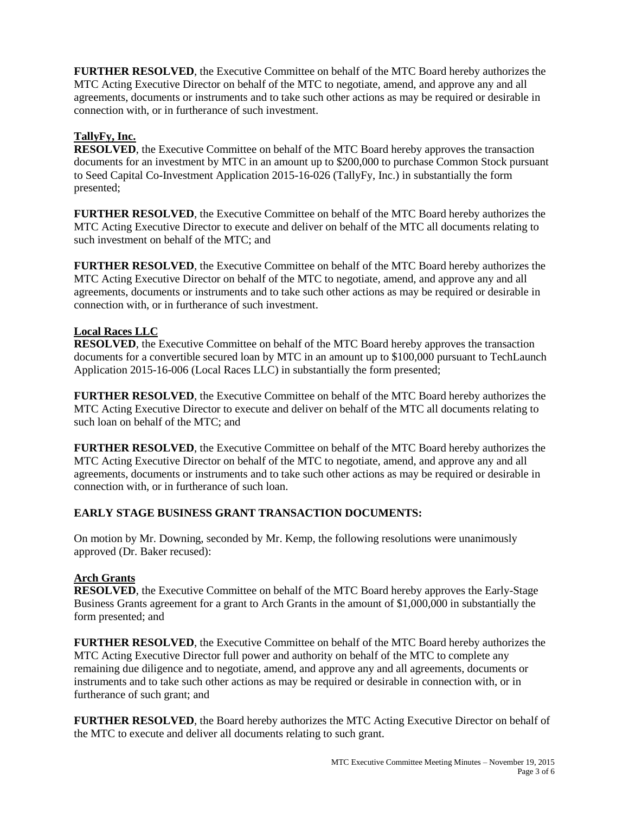**FURTHER RESOLVED**, the Executive Committee on behalf of the MTC Board hereby authorizes the MTC Acting Executive Director on behalf of the MTC to negotiate, amend, and approve any and all agreements, documents or instruments and to take such other actions as may be required or desirable in connection with, or in furtherance of such investment.

# **TallyFy, Inc.**

**RESOLVED**, the Executive Committee on behalf of the MTC Board hereby approves the transaction documents for an investment by MTC in an amount up to \$200,000 to purchase Common Stock pursuant to Seed Capital Co-Investment Application 2015-16-026 (TallyFy, Inc.) in substantially the form presented;

**FURTHER RESOLVED**, the Executive Committee on behalf of the MTC Board hereby authorizes the MTC Acting Executive Director to execute and deliver on behalf of the MTC all documents relating to such investment on behalf of the MTC; and

**FURTHER RESOLVED**, the Executive Committee on behalf of the MTC Board hereby authorizes the MTC Acting Executive Director on behalf of the MTC to negotiate, amend, and approve any and all agreements, documents or instruments and to take such other actions as may be required or desirable in connection with, or in furtherance of such investment.

### **Local Races LLC**

**RESOLVED**, the Executive Committee on behalf of the MTC Board hereby approves the transaction documents for a convertible secured loan by MTC in an amount up to \$100,000 pursuant to TechLaunch Application 2015-16-006 (Local Races LLC) in substantially the form presented;

**FURTHER RESOLVED**, the Executive Committee on behalf of the MTC Board hereby authorizes the MTC Acting Executive Director to execute and deliver on behalf of the MTC all documents relating to such loan on behalf of the MTC; and

**FURTHER RESOLVED**, the Executive Committee on behalf of the MTC Board hereby authorizes the MTC Acting Executive Director on behalf of the MTC to negotiate, amend, and approve any and all agreements, documents or instruments and to take such other actions as may be required or desirable in connection with, or in furtherance of such loan.

# **EARLY STAGE BUSINESS GRANT TRANSACTION DOCUMENTS:**

On motion by Mr. Downing, seconded by Mr. Kemp, the following resolutions were unanimously approved (Dr. Baker recused):

# **Arch Grants**

**RESOLVED**, the Executive Committee on behalf of the MTC Board hereby approves the Early-Stage Business Grants agreement for a grant to Arch Grants in the amount of \$1,000,000 in substantially the form presented; and

**FURTHER RESOLVED**, the Executive Committee on behalf of the MTC Board hereby authorizes the MTC Acting Executive Director full power and authority on behalf of the MTC to complete any remaining due diligence and to negotiate, amend, and approve any and all agreements, documents or instruments and to take such other actions as may be required or desirable in connection with, or in furtherance of such grant; and

**FURTHER RESOLVED**, the Board hereby authorizes the MTC Acting Executive Director on behalf of the MTC to execute and deliver all documents relating to such grant.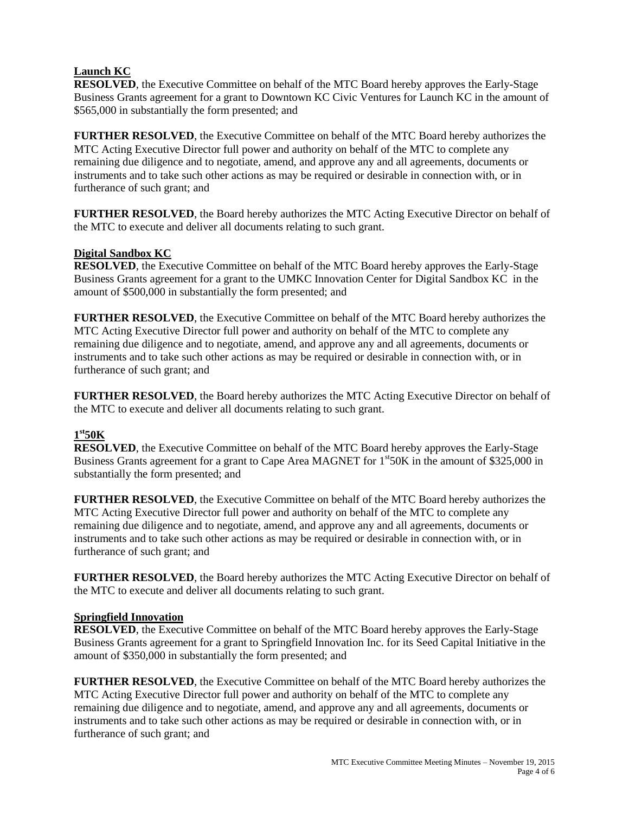### **Launch KC**

**RESOLVED**, the Executive Committee on behalf of the MTC Board hereby approves the Early-Stage Business Grants agreement for a grant to Downtown KC Civic Ventures for Launch KC in the amount of \$565,000 in substantially the form presented; and

**FURTHER RESOLVED**, the Executive Committee on behalf of the MTC Board hereby authorizes the MTC Acting Executive Director full power and authority on behalf of the MTC to complete any remaining due diligence and to negotiate, amend, and approve any and all agreements, documents or instruments and to take such other actions as may be required or desirable in connection with, or in furtherance of such grant; and

**FURTHER RESOLVED**, the Board hereby authorizes the MTC Acting Executive Director on behalf of the MTC to execute and deliver all documents relating to such grant.

### **Digital Sandbox KC**

**RESOLVED**, the Executive Committee on behalf of the MTC Board hereby approves the Early-Stage Business Grants agreement for a grant to the UMKC Innovation Center for Digital Sandbox KC in the amount of \$500,000 in substantially the form presented; and

**FURTHER RESOLVED**, the Executive Committee on behalf of the MTC Board hereby authorizes the MTC Acting Executive Director full power and authority on behalf of the MTC to complete any remaining due diligence and to negotiate, amend, and approve any and all agreements, documents or instruments and to take such other actions as may be required or desirable in connection with, or in furtherance of such grant; and

**FURTHER RESOLVED**, the Board hereby authorizes the MTC Acting Executive Director on behalf of the MTC to execute and deliver all documents relating to such grant.

# **1 st50K**

**RESOLVED**, the Executive Committee on behalf of the MTC Board hereby approves the Early-Stage Business Grants agreement for a grant to Cape Area MAGNET for  $1<sup>st</sup>50K$  in the amount of \$325,000 in substantially the form presented; and

**FURTHER RESOLVED**, the Executive Committee on behalf of the MTC Board hereby authorizes the MTC Acting Executive Director full power and authority on behalf of the MTC to complete any remaining due diligence and to negotiate, amend, and approve any and all agreements, documents or instruments and to take such other actions as may be required or desirable in connection with, or in furtherance of such grant; and

**FURTHER RESOLVED**, the Board hereby authorizes the MTC Acting Executive Director on behalf of the MTC to execute and deliver all documents relating to such grant.

### **Springfield Innovation**

**RESOLVED**, the Executive Committee on behalf of the MTC Board hereby approves the Early-Stage Business Grants agreement for a grant to Springfield Innovation Inc. for its Seed Capital Initiative in the amount of \$350,000 in substantially the form presented; and

**FURTHER RESOLVED**, the Executive Committee on behalf of the MTC Board hereby authorizes the MTC Acting Executive Director full power and authority on behalf of the MTC to complete any remaining due diligence and to negotiate, amend, and approve any and all agreements, documents or instruments and to take such other actions as may be required or desirable in connection with, or in furtherance of such grant; and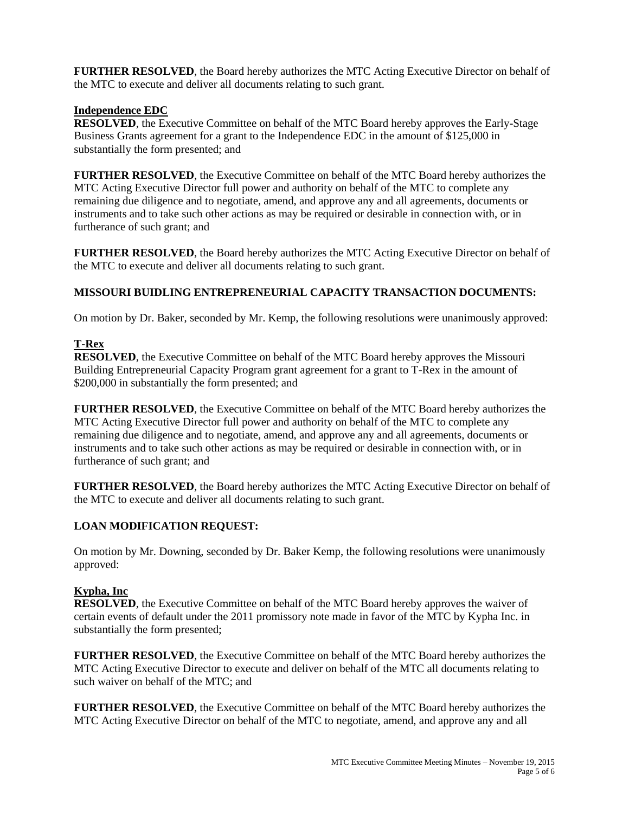**FURTHER RESOLVED**, the Board hereby authorizes the MTC Acting Executive Director on behalf of the MTC to execute and deliver all documents relating to such grant.

### **Independence EDC**

**RESOLVED**, the Executive Committee on behalf of the MTC Board hereby approves the Early-Stage Business Grants agreement for a grant to the Independence EDC in the amount of \$125,000 in substantially the form presented; and

**FURTHER RESOLVED**, the Executive Committee on behalf of the MTC Board hereby authorizes the MTC Acting Executive Director full power and authority on behalf of the MTC to complete any remaining due diligence and to negotiate, amend, and approve any and all agreements, documents or instruments and to take such other actions as may be required or desirable in connection with, or in furtherance of such grant; and

**FURTHER RESOLVED**, the Board hereby authorizes the MTC Acting Executive Director on behalf of the MTC to execute and deliver all documents relating to such grant.

### **MISSOURI BUIDLING ENTREPRENEURIAL CAPACITY TRANSACTION DOCUMENTS:**

On motion by Dr. Baker, seconded by Mr. Kemp, the following resolutions were unanimously approved:

### **T-Rex**

**RESOLVED**, the Executive Committee on behalf of the MTC Board hereby approves the Missouri Building Entrepreneurial Capacity Program grant agreement for a grant to T-Rex in the amount of \$200,000 in substantially the form presented; and

**FURTHER RESOLVED**, the Executive Committee on behalf of the MTC Board hereby authorizes the MTC Acting Executive Director full power and authority on behalf of the MTC to complete any remaining due diligence and to negotiate, amend, and approve any and all agreements, documents or instruments and to take such other actions as may be required or desirable in connection with, or in furtherance of such grant; and

**FURTHER RESOLVED**, the Board hereby authorizes the MTC Acting Executive Director on behalf of the MTC to execute and deliver all documents relating to such grant.

# **LOAN MODIFICATION REQUEST:**

On motion by Mr. Downing, seconded by Dr. Baker Kemp, the following resolutions were unanimously approved:

# **Kypha, Inc**

**RESOLVED**, the Executive Committee on behalf of the MTC Board hereby approves the waiver of certain events of default under the 2011 promissory note made in favor of the MTC by Kypha Inc. in substantially the form presented;

**FURTHER RESOLVED**, the Executive Committee on behalf of the MTC Board hereby authorizes the MTC Acting Executive Director to execute and deliver on behalf of the MTC all documents relating to such waiver on behalf of the MTC; and

**FURTHER RESOLVED**, the Executive Committee on behalf of the MTC Board hereby authorizes the MTC Acting Executive Director on behalf of the MTC to negotiate, amend, and approve any and all